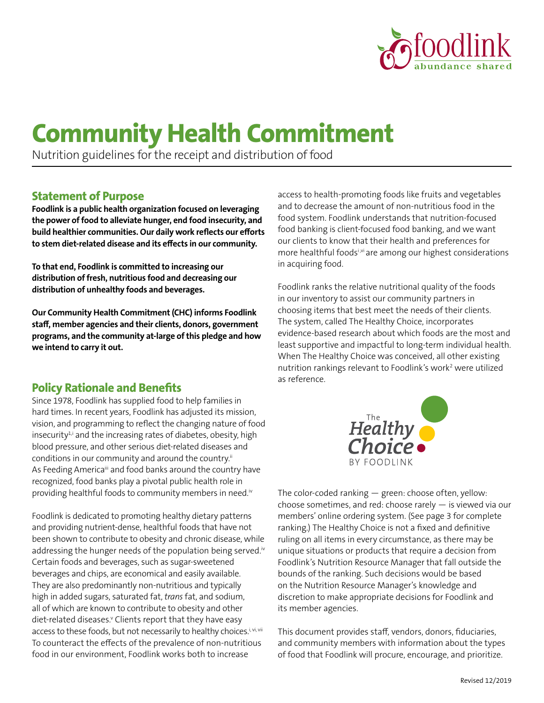

# **Community Health Commitment**

Nutrition guidelines for the receipt and distribution of food

# **Statement of Purpose**

**Foodlink is a public health organization focused on leveraging the power of food to alleviate hunger, end food insecurity, and build healthier communities. Our daily work reflects our efforts to stem diet-related disease and its effects in our community.**

**To that end, Foodlink is committed to increasing our distribution of fresh, nutritious food and decreasing our distribution of unhealthy foods and beverages.**

**Our Community Health Commitment (CHC) informs Foodlink staff, member agencies and their clients, donors, government programs, and the community at-large of this pledge and how we intend to carry it out.**

# **Policy Rationale and Benefits**

Since 1978, Foodlink has supplied food to help families in hard times. In recent years, Foodlink has adjusted its mission, vision, and programming to reflect the changing nature of food insecurity<sup>1,i</sup> and the increasing rates of diabetes, obesity, high blood pressure, and other serious diet-related diseases and conditions in our community and around the country.<sup>ii</sup> As Feeding Americaiii and food banks around the country have recognized, food banks play a pivotal public health role in providing healthful foods to community members in need.<sup>iv</sup>

Foodlink is dedicated to promoting healthy dietary patterns and providing nutrient-dense, healthful foods that have not been shown to contribute to obesity and chronic disease, while addressing the hunger needs of the population being served.<sup>iv</sup> Certain foods and beverages, such as sugar-sweetened beverages and chips, are economical and easily available. They are also predominantly non-nutritious and typically high in added sugars, saturated fat, *trans* fat, and sodium, all of which are known to contribute to obesity and other diet-related diseases.<sup>v</sup> Clients report that they have easy access to these foods, but not necessarily to healthy choices.i, vi, vii To counteract the effects of the prevalence of non-nutritious food in our environment, Foodlink works both to increase

access to health-promoting foods like fruits and vegetables and to decrease the amount of non-nutritious food in the food system. Foodlink understands that nutrition-focused food banking is client-focused food banking, and we want our clients to know that their health and preferences for more healthful foodsi,vi are among our highest considerations in acquiring food.

Foodlink ranks the relative nutritional quality of the foods in our inventory to assist our community partners in choosing items that best meet the needs of their clients. The system, called The Healthy Choice, incorporates evidence-based research about which foods are the most and least supportive and impactful to long-term individual health. When The Healthy Choice was conceived, all other existing nutrition rankings relevant to Foodlink's work<sup>2</sup> were utilized as reference.



The color-coded ranking — green: choose often, yellow: choose sometimes, and red: choose rarely — is viewed via our members' online ordering system. (See page 3 for complete ranking.) The Healthy Choice is not a fixed and definitive ruling on all items in every circumstance, as there may be unique situations or products that require a decision from Foodlink's Nutrition Resource Manager that fall outside the bounds of the ranking. Such decisions would be based on the Nutrition Resource Manager's knowledge and discretion to make appropriate decisions for Foodlink and its member agencies.

This document provides staff, vendors, donors, fiduciaries, and community members with information about the types of food that Foodlink will procure, encourage, and prioritize.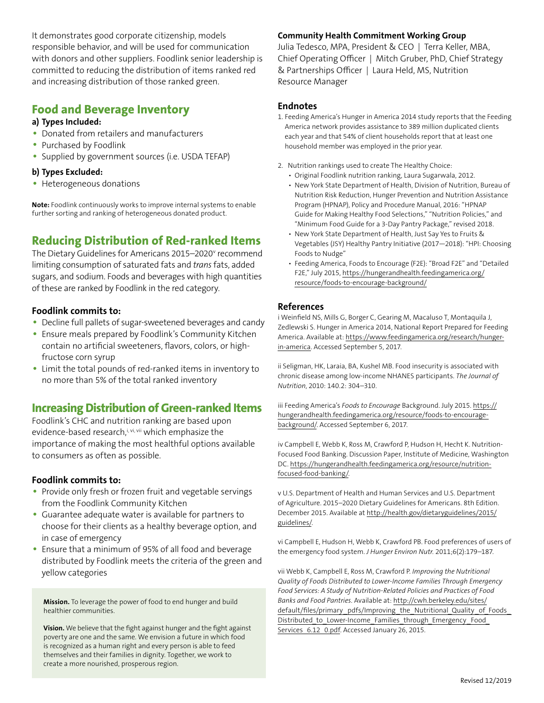It demonstrates good corporate citizenship, models responsible behavior, and will be used for communication with donors and other suppliers. Foodlink senior leadership is committed to reducing the distribution of items ranked red and increasing distribution of those ranked green.

# **Food and Beverage Inventory**

#### **a) Types Included:**

- Donated from retailers and manufacturers
- Purchased by Foodlink
- Supplied by government sources (i.e. USDA TEFAP)

#### **b) Types Excluded:**

• Heterogeneous donations

**Note:** Foodlink continuously works to improve internal systems to enable further sorting and ranking of heterogeneous donated product.

# **Reducing Distribution of Red-ranked Items**

The Dietary Guidelines for Americans 2015–2020<sup>v</sup> recommend limiting consumption of saturated fats and *trans* fats, added sugars, and sodium. Foods and beverages with high quantities of these are ranked by Foodlink in the red category.

# **Foodlink commits to:**

- Decline full pallets of sugar-sweetened beverages and candy
- Ensure meals prepared by Foodlink's Community Kitchen contain no artificial sweeteners, flavors, colors, or highfructose corn syrup
- Limit the total pounds of red-ranked items in inventory to no more than 5% of the total ranked inventory

# **Increasing Distribution of Green-ranked Items**

Foodlink's CHC and nutrition ranking are based upon evidence-based research,i, vi, vii which emphasize the importance of making the most healthful options available to consumers as often as possible.

# **Foodlink commits to:**

- Provide only fresh or frozen fruit and vegetable servings from the Foodlink Community Kitchen
- Guarantee adequate water is available for partners to choose for their clients as a healthy beverage option, and in case of emergency
- Ensure that a minimum of 95% of all food and beverage distributed by Foodlink meets the criteria of the green and yellow categories

**Mission.** To leverage the power of food to end hunger and build healthier communities.

**Vision.** We believe that the fight against hunger and the fight against poverty are one and the same. We envision a future in which food is recognized as a human right and every person is able to feed themselves and their families in dignity. Together, we work to create a more nourished, prosperous region.

# **Community Health Commitment Working Group**

Julia Tedesco, MPA, President & CEO | Terra Keller, MBA, Chief Operating Officer | Mitch Gruber, PhD, Chief Strategy & Partnerships Officer | Laura Held, MS, Nutrition Resource Manager

#### **Endnotes**

- 1. Feeding America's Hunger in America 2014 study reports that the Feeding America network provides assistance to 389 million duplicated clients each year and that 54% of client households report that at least one household member was employed in the prior year.
- 2. Nutrition rankings used to create The Healthy Choice:
	- Original Foodlink nutrition ranking, Laura Sugarwala, 2012.
	- New York State Department of Health, Division of Nutrition, Bureau of Nutrition Risk Reduction, Hunger Prevention and Nutrition Assistance Program (HPNAP), Policy and Procedure Manual, 2016: "HPNAP Guide for Making Healthy Food Selections," "Nutrition Policies," and "Minimum Food Guide for a 3-Day Pantry Package," revised 2018.
	- New York State Department of Health, Just Say Yes to Fruits & Vegetables (JSY) Healthy Pantry Initiative (2017—2018): "HPI: Choosing Foods to Nudge"
	- Feeding America, Foods to Encourage (F2E): "Broad F2E" and "Detailed F2E," July 2015, [https://hungerandhealth.feedingamerica.org/](https://hungerandhealth.feedingamerica.org/resource/foods-to-encourage-background/ ) [resource/foods-to-encourage-background/](https://hungerandhealth.feedingamerica.org/resource/foods-to-encourage-background/ )

#### **References**

i Weinfield NS, Mills G, Borger C, Gearing M, Macaluso T, Montaquila J, Zedlewski S. Hunger in America 2014, National Report Prepared for Feeding America. Available at: ht[tps://www.feedingamerica.org/research/hunger](https://www.feedingamerica.org/research/hunger-in-america)[in-america](https://www.feedingamerica.org/research/hunger-in-america)[.](http://www.resourcelibrary.gcyf.org/sites/gcyf.org/files/resources/2014/hunger-inamerica-2014-full-report.pdf) Accessed September 5, 2017.

ii Seligman, HK, Laraia, BA, Kushel MB. Food insecurity is associated with chronic disease among low-income NHANES participants. *The Journal of Nutrition*, 2010: 140.2: 304–310.

iii Feeding America's *Foods to Encourage* Background. July 2015. [https://](https://hungerandhealth.feedingamerica.org/resource/foods-to-encourage-background/) [hungerandhealth.feedingamerica.org/resource/foods-to-encourage](https://hungerandhealth.feedingamerica.org/resource/foods-to-encourage-background/)[background/](https://hungerandhealth.feedingamerica.org/resource/foods-to-encourage-background/). Accessed September 6, 2017.

iv Campbell E, Webb K, Ross M, Crawford P, Hudson H, Hecht K. Nutrition-Focused Food Banking. Discussion Paper, Institute of Medicine, Washington DC. [https://hungerandhealth.feedingamerica.org/resource/nutrition](https://hungerandhealth.feedingamerica.org/resource/nutrition-focused-food-banking/)[focused-food-banking/](https://hungerandhealth.feedingamerica.org/resource/nutrition-focused-food-banking/).

v U.S. Department of Health and Human Services and U.S. Department of Agriculture. 2015–2020 Dietary Guidelines for Americans. 8th Edition. December 2015. Available at [http://health.gov/dietaryguidelines/2015/](http://health.gov/dietaryguidelines/2015/guidelines/) [guidelines/.](http://health.gov/dietaryguidelines/2015/guidelines/)

vi Campbell E, Hudson H, Webb K, Crawford PB. Food preferences of users of the emergency food system. *J Hunger Environ Nutr.* 2011;6(2):179–187.

vii Webb K, Campbell E, Ross M, Crawford P. *Improving the Nutritional Quality of Foods Distributed to Lower-Income Families Through Emergency Food Services: A Study of Nutrition-Related Policies and Practices of Food Banks and Food Pantries.* Available at: [http://cwh.berkeley.edu/sites/](http://cwh.berkeley.edu/sites/ default/files/primary_pdfs/Improving_the_Nutritional_Quality_of_Foods) [default/files/primary\\_pdfs/Improving\\_the\\_Nutritional\\_Quality\\_of\\_Foods\\_](http://cwh.berkeley.edu/sites/ default/files/primary_pdfs/Improving_the_Nutritional_Quality_of_Foods)  [Distributed\\_to\\_Lower-Income\\_Families\\_through\\_Emergency\\_Food\\_](http://cwh.berkeley.edu/sites/ default/files/primary_pdfs/Improving_the_Nutritional_Quality_of_Foods) Services 6.12 0.pdf. Accessed January 26, 2015.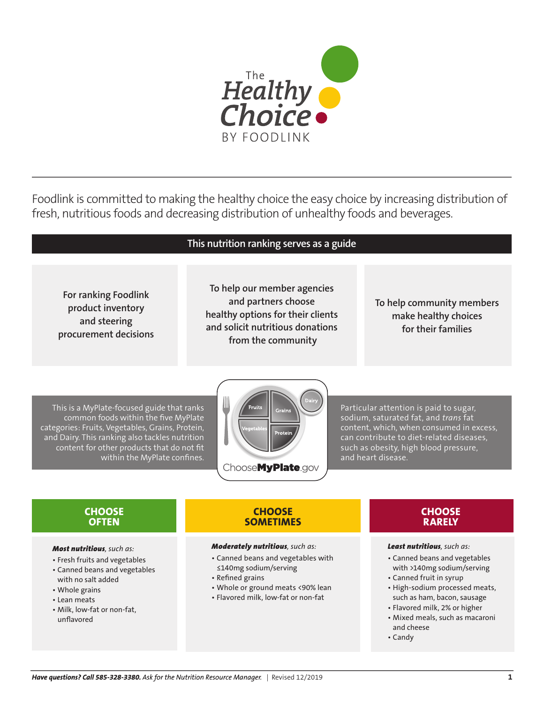

Foodlink is committed to making the healthy choice the easy choice by increasing distribution of fresh, nutritious foods and decreasing distribution of unhealthy foods and beverages.

**For ranking Foodlink product inventory and steering procurement decisions**

# **This nutrition ranking serves as a guide**

**To help our member agencies and partners choose healthy options for their clients and solicit nutritious donations from the community**

# **To help community members make healthy choices for their families**

This is a MyPlate-focused guide that ranks common foods within the five MyPlate categories: Fruits, Vegetables, Grains, Protein, and Dairy. This ranking also tackles nutrition content for other products that do not fit within the MyPlate confines.



Particular attention is paid to sugar, sodium, saturated fat, and *trans* fat content, which, when consumed in excess, can contribute to diet-related diseases, such as obesity, high blood pressure, and heart disease.

# **CHOOSE OFTEN**

#### *Most nutritious, such as:*

- Fresh fruits and vegetables
- Canned beans and vegetables with no salt added
- Whole grains
- Lean meats
- Milk, low-fat or non-fat, unflavored

#### **CHOOSE SOMETIMES**

#### *Moderately nutritious, such as:*

- Canned beans and vegetables with ≤140mg sodium/serving
- Refined grains
- Whole or ground meats <90% lean
- Flavored milk, low-fat or non-fat

# **CHOOSE RARELY**

#### *Least nutritious, such as:*

- Canned beans and vegetables with >140mg sodium/serving
- Canned fruit in syrup
- High-sodium processed meats, such as ham, bacon, sausage
- Flavored milk, 2% or higher
- Mixed meals, such as macaroni and cheese
- Candy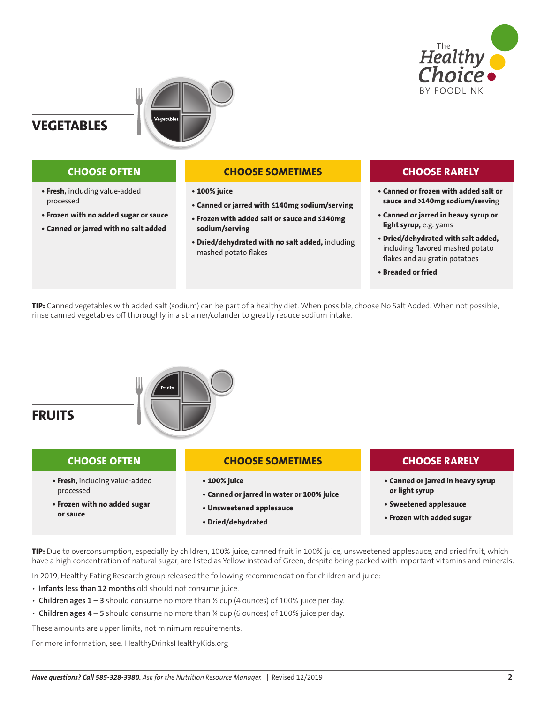



**VEGETABLES**

- **• Fresh,** including value-added processed
- **Frozen with no added sugar or sauce**

**CHOOSE OFTEN**

**• Canned or jarred with no salt added**

#### **CHOOSE SOMETIMES**

- **100% juice**
- **Canned or jarred with ≤140mg sodium/serving**
- **Frozen with added salt or sauce and ≤140mg sodium/serving**
- **Dried/dehydrated with no salt added,** including mashed potato flakes

# **CHOOSE RARELY**

- **• Canned or frozen with added salt or sauce and >140mg sodium/servin**g
- **Canned or jarred in heavy syrup or light syrup,** e.g. yams
- **Dried/dehydrated with salt added,**  including flavored mashed potato flakes and au gratin potatoes
- **• Breaded or fried**

**TIP:** Canned vegetables with added salt (sodium) can be part of a healthy diet. When possible, choose No Salt Added. When not possible, rinse canned vegetables off thoroughly in a strainer/colander to greatly reduce sodium intake.



**TIP:** Due to overconsumption, especially by children, 100% juice, canned fruit in 100% juice, unsweetened applesauce, and dried fruit, which have a high concentration of natural sugar, are listed as Yellow instead of Green, despite being packed with important vitamins and minerals.

In 2019, Healthy Eating Research group released the following recommendation for children and juice:

- **Infants less than 12 months** old should not consume juice.
- **Children ages 1 3** should consume no more than ½ cup (4 ounces) of 100% juice per day.
- **Children ages 4 5** should consume no more than ¾ cup (6 ounces) of 100% juice per day.

These amounts are upper limits, not minimum requirements.

For more information, see: [HealthyDrinksHealthyKids.org](http://HealthyDrinksHealthyKids.org)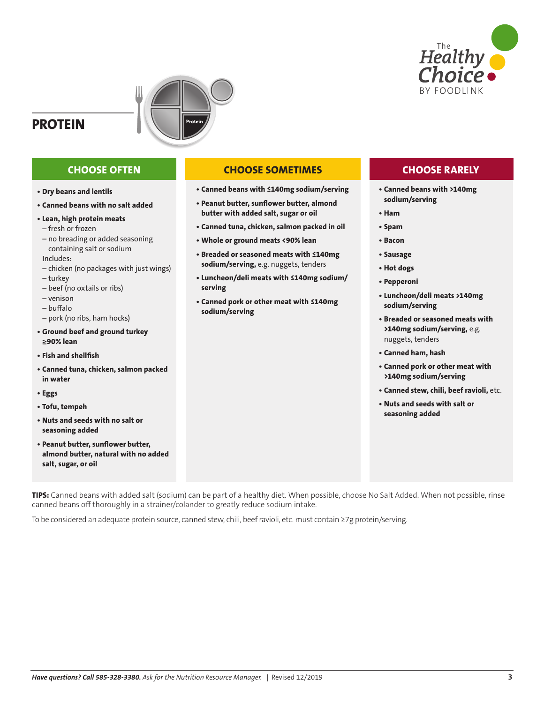

# **PROTEIN**



- **• Dry beans and lentils**
- **Canned beans with no salt added**
- **Lean, high protein meats** – fresh or frozen
- no breading or added seasoning containing salt or sodium Includes:
- chicken (no packages with just wings)
- turkey
- beef (no oxtails or ribs)
- venison
- buffalo
- pork (no ribs, ham hocks)
- **Ground beef and ground turkey ≥90% lean**
- **Fish and shellfish**
- **Canned tuna, chicken, salmon packed in water**
- **Eggs**
- **Tofu, tempeh**
- **Nuts and seeds with no salt or seasoning added**
- **Peanut butter, sunflower butter, almond butter, natural with no added salt, sugar, or oil**

# **CHOOSE OFTEN CHOOSE SOMETIMES CHOOSE RARELY**

- **Canned beans with ≤140mg sodium/serving**
- **Peanut butter, sunflower butter, almond butter with added salt, sugar or oil**
- **Canned tuna, chicken, salmon packed in oil**
- **Whole or ground meats <90% lean**
- **Breaded or seasoned meats with ≤140mg sodium/serving,** e.g. nuggets, tenders
- **Luncheon/deli meats with ≤140mg sodium/ serving**
- **Canned pork or other meat with ≤140mg sodium/serving**

- **• Canned beans with >140mg sodium/serving**
- **Ham**
- **Spam**
- **Bacon**
- **Sausage**
- **Hot dogs**
- **Pepperoni**
- **Luncheon/deli meats >140mg sodium/serving**
- **Breaded or seasoned meats with >140mg sodium/serving,** e.g. nuggets, tenders
- **Canned ham, hash**
- **Canned pork or other meat with >140mg sodium/serving**
- **Canned stew, chili, beef ravioli,** etc.
- **Nuts and seeds with salt or seasoning added**

**TIPS:** Canned beans with added salt (sodium) can be part of a healthy diet. When possible, choose No Salt Added. When not possible, rinse canned beans off thoroughly in a strainer/colander to greatly reduce sodium intake.

To be considered an adequate protein source, canned stew, chili, beef ravioli, etc. must contain ≥7g protein/serving.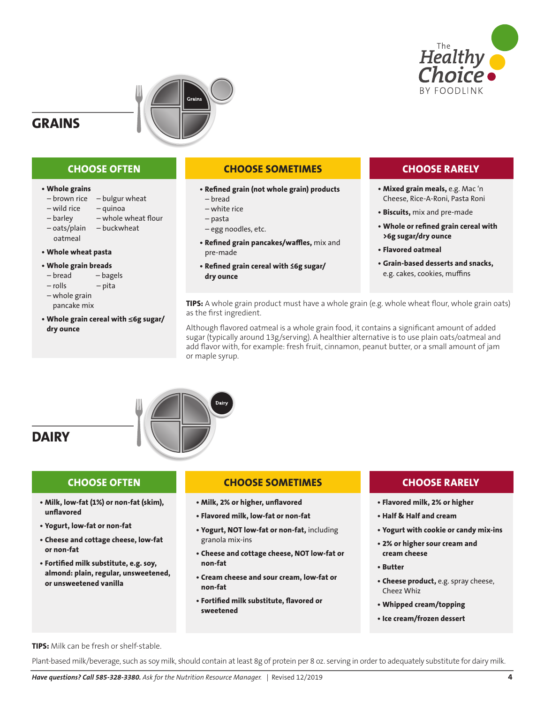





# **CHOOSE OFTEN**

#### **• Whole grains**

- $-$  brown rice  $-$  bulgur wheat
- wild rice quinoa
- barley whole wheat flour
- oats/plain buckwheat oatmeal

#### **• Whole wheat pasta**

#### **• Whole grain breads**

- bread bagels
- rolls pita
- whole grain pancake mix
- **Whole grain cereal with ≤6g sugar/ dry ounce**

#### **CHOOSE SOMETIMES**

- **Refined grain (not whole grain) products** – bread
	- white rice
	- pasta
	- egg noodles, etc.
- **Refined grain pancakes/waffles,** mix and pre-made
- **Refined grain cereal with ≤6g sugar/ dry ounce**

# **CHOOSE RARELY**

- **• Mixed grain meals,** e.g. Mac 'n Cheese, Rice-A-Roni, Pasta Roni
- **Biscuits,** mix and pre-made
- **Whole or refined grain cereal with >6g sugar/dry ounce**
- **Flavored oatmeal**
- **Grain-based desserts and snacks,**  e.g. cakes, cookies, muffins

**TIPS:** A whole grain product must have a whole grain (e.g. whole wheat flour, whole grain oats) as the first ingredient.

Although flavored oatmeal is a whole grain food, it contains a significant amount of added sugar (typically around 13g/serving). A healthier alternative is to use plain oats/oatmeal and add flavor with, for example: fresh fruit, cinnamon, peanut butter, or a small amount of jam or maple syrup.



# **CHOOSE OFTEN**

- **• Milk, low-fat (1%) or non-fat (skim), unflavored**
- **Yogurt, low-fat or non-fat**
- **Cheese and cottage cheese, low-fat or non-fat**
- **Fortified milk substitute, e.g. soy, almond: plain, regular, unsweetened, or unsweetened vanilla**

# **CHOOSE SOMETIMES**

- **• Milk, 2% or higher, unflavored**
- **Flavored milk, low-fat or non-fat**
- **Yogurt, NOT low-fat or non-fat,** including granola mix-ins
- **Cheese and cottage cheese, NOT low-fat or non-fat**
- **Cream cheese and sour cream, low-fat or non-fat**
- **Fortified milk substitute, flavored or sweetened**

# **CHOOSE RARELY**

- **• Flavored milk, 2% or higher**
- **Half & Half and cream**
- **Yogurt with cookie or candy mix-ins**
- **2% or higher sour cream and cream cheese**
- **Butter**
- **Cheese product,** e.g. spray cheese, Cheez Whiz
- **Whipped cream/topping**
- **• Ice cream/frozen dessert**

**TIPS:** Milk can be fresh or shelf-stable.

Plant-based milk/beverage, such as soy milk, should contain at least 8g of protein per 8 oz. serving in order to adequately substitute for dairy milk.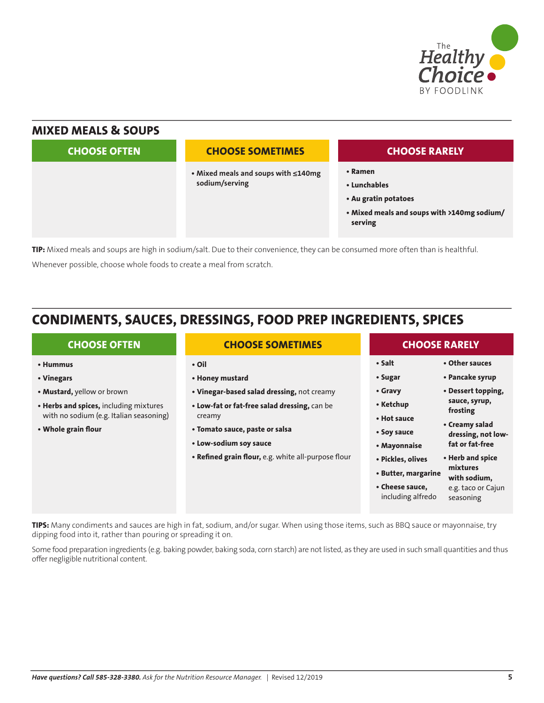

# **MIXED MEALS & SOUPS • Ramen • Lunchables • Au gratin potatoes • Mixed meals and soups with >140mg sodium/ serving • Mixed meals and soups with ≤140mg sodium/serving CHOOSE OFTEN CHOOSE SOMETIMES CHOOSE RARELY**

**TIP:** Mixed meals and soups are high in sodium/salt. Due to their convenience, they can be consumed more often than is healthful. Whenever possible, choose whole foods to create a meal from scratch.

# **CONDIMENTS, SAUCES, DRESSINGS, FOOD PREP INGREDIENTS, SPICES**

| <b>CHOOSE OFTEN</b>                     | <b>CHOOSE SOMETIMES</b>                             | <b>CHOOSE RARELY</b>                 |                                 |
|-----------------------------------------|-----------------------------------------------------|--------------------------------------|---------------------------------|
| • Hummus                                | • Oil                                               | • Salt                               | • Other sauces                  |
| • Vinegars                              | • Honey mustard                                     | • Sugar                              | • Pancake syrup                 |
| • Mustard, yellow or brown              | . Vinegar-based salad dressing, not creamy          | • Gravy                              | • Dessert topping,              |
| • Herbs and spices, including mixtures  | . Low-fat or fat-free salad dressing, can be        | • Ketchup                            | sauce, syrup,<br>frosting       |
| with no sodium (e.g. Italian seasoning) | creamy                                              | • Hot sauce                          | • Creamy salad                  |
| • Whole grain flour                     | • Tomato sauce, paste or salsa                      | • Soy sauce                          | dressing, not low-              |
|                                         | • Low-sodium soy sauce                              | • Mayonnaise                         | fat or fat-free                 |
|                                         | . Refined grain flour, e.g. white all-purpose flour | • Pickles, olives                    | • Herb and spice                |
|                                         |                                                     | • Butter, margarine                  | mixtures<br>with sodium,        |
|                                         |                                                     | • Cheese sauce,<br>including alfredo | e.g. taco or Cajun<br>seasoning |

**TIPS:** Many condiments and sauces are high in fat, sodium, and/or sugar. When using those items, such as BBQ sauce or mayonnaise, try dipping food into it, rather than pouring or spreading it on.

Some food preparation ingredients (e.g. baking powder, baking soda, corn starch) are not listed, as they are used in such small quantities and thus offer negligible nutritional content.